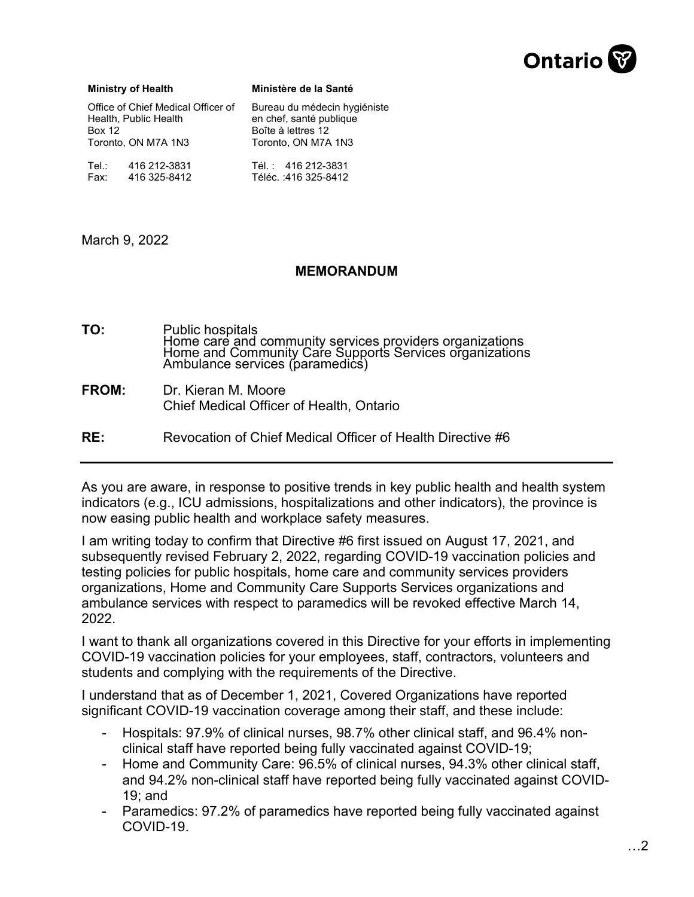

## **Ministry of Health**

**Ministère de la Santé**

| Office of Chief Medical Officer of |              | Bureau du médecin hygiéniste |
|------------------------------------|--------------|------------------------------|
| Health, Public Health              |              | en chef, santé publique      |
| <b>Box 12</b>                      |              | Boîte à lettres 12           |
| Toronto, ON M7A 1N3                |              | Toronto, ON M7A 1N3          |
| Tel∴                               | 416 212-3831 | Tél.: 416 212-3831           |
| Fax:                               | 416 325-8412 | Téléc.: 416 325-8412         |

March 9, 2022

## **MEMORANDUM**

**RE:** Revocation of Chief Medical Officer of Health Directive #6 **TO:** Public hospitals<br>Home care and community services providers organizations Home and Community Care Supports Services organizations Ambulance services (paramedics) **FROM:** Dr. Kieran M. Moore Chief Medical Officer of Health, Ontario

As you are aware, in response to positive trends in key public health and health system indicators (e.g., ICU admissions, hospitalizations and other indicators), the province is now easing public health and workplace safety measures.

I am writing today to confirm that Directive #6 first issued on August 17, 2021, and subsequently revised February 2, 2022, regarding COVID-19 vaccination policies and testing policies for public hospitals, home care and community services providers organizations, Home and Community Care Supports Services organizations and ambulance services with respect to paramedics will be revoked effective March 14, 2022.

I want to thank all organizations covered in this Directive for your efforts in implementing COVID-19 vaccination policies for your employees, staff, contractors, volunteers and students and complying with the requirements of the Directive.

I understand that as of December 1, 2021, Covered Organizations have reported significant COVID-19 vaccination coverage among their staff, and these include:

- Hospitals: 97.9% of clinical nurses, 98.7% other clinical staff, and 96.4% nonclinical staff have reported being fully vaccinated against COVID-19;
- Home and Community Care: 96.5% of clinical nurses, 94.3% other clinical staff, and 94.2% non-clinical staff have reported being fully vaccinated against COVID-19; and
- Paramedics: 97.2% of paramedics have reported being fully vaccinated against COVID-19.